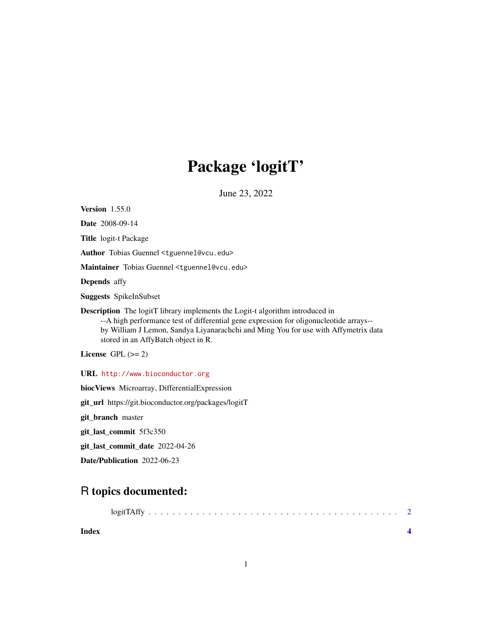# Package 'logitT'

June 23, 2022

<span id="page-0-0"></span>Version 1.55.0

Date 2008-09-14

Title logit-t Package

Author Tobias Guennel <tguennel@vcu.edu>

Maintainer Tobias Guennel <tguennel@vcu.edu>

Depends affy

Suggests SpikeInSubset

Description The logitT library implements the Logit-t algorithm introduced in --A high performance test of differential gene expression for oligonucleotide arrays- by William J Lemon, Sandya Liyanarachchi and Ming You for use with Affymetrix data stored in an AffyBatch object in R.

License GPL  $(>= 2)$ 

URL <http://www.bioconductor.org>

biocViews Microarray, DifferentialExpression

git\_url https://git.bioconductor.org/packages/logitT

git\_branch master

git\_last\_commit 5f3c350

git\_last\_commit\_date 2022-04-26

Date/Publication 2022-06-23

## R topics documented:

**Index** [4](#page-3-0)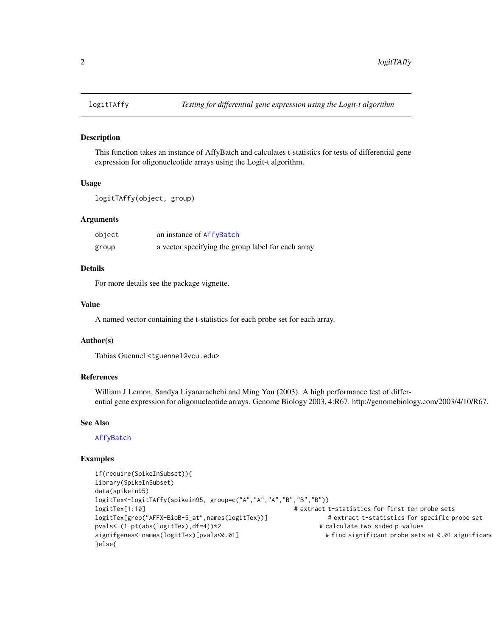<span id="page-1-0"></span>

#### Description

This function takes an instance of AffyBatch and calculates t-statistics for tests of differential gene expression for oligonucleotide arrays using the Logit-t algorithm.

#### Usage

```
logitTAffy(object, group)
```
#### Arguments

| object | an instance of AffyBatch                           |
|--------|----------------------------------------------------|
| group  | a vector specifying the group label for each array |

#### Details

For more details see the package vignette.

#### Value

A named vector containing the t-statistics for each probe set for each array.

#### Author(s)

Tobias Guennel <tguennel@vcu.edu>

#### References

William J Lemon, Sandya Liyanarachchi and Ming You (2003). A high performance test of differential gene expression for oligonucleotide arrays. Genome Biology 2003, 4:R67. http://genomebiology.com/2003/4/10/R67.

#### See Also

#### [AffyBatch](#page-0-0)

#### Examples

```
if(require(SpikeInSubset)){
library(SpikeInSubset)
data(spikein95)
logitTex<-logitTAffy(spikein95, group=c("A","A","A","B","B","B"))
logitTex[1:10] # extract t-statistics for first ten probe sets
logitTex[grep("AFFX-BioB-5_at",names(logitTex))] # extract t-statistics for specific probe set
pvals<-(1-pt(abs(logitTex),df=4))*2 # calculate two-sided p-values
signifgenes<-names(logitTex)[pvals<0.01] # find significant probe sets at 0.01 significance level
}else{
```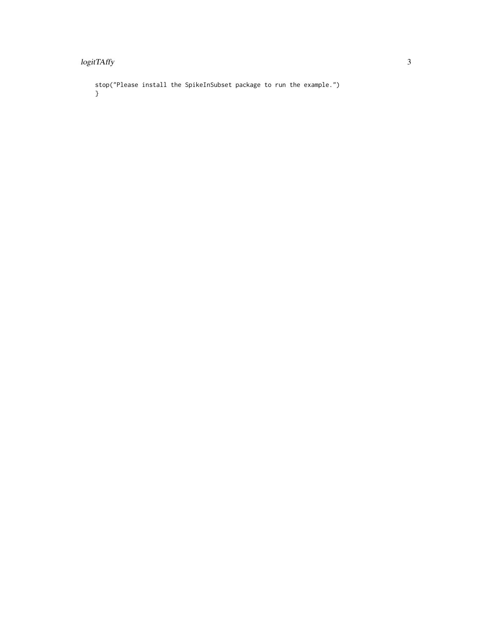### logitTAffy

stop("Please install the SpikeInSubset package to run the example.")  $\mathcal{E}$